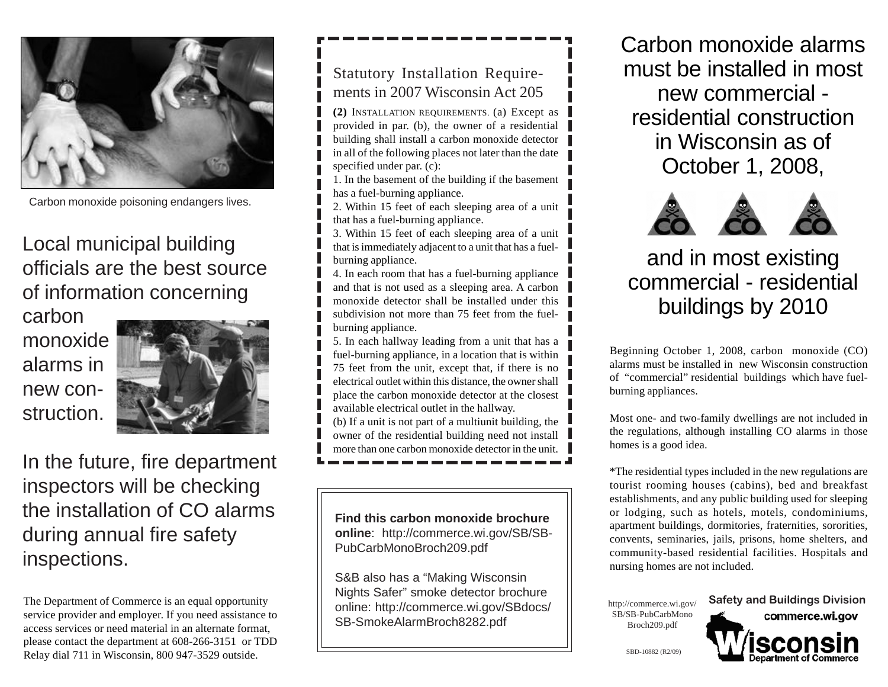

Carbon monoxide poisoning endangers lives.

# Local municipal building officials are the best source of information concerning

carbon monoxide alarms in new construction.



In the future, fire department inspectors will be checking the installation of CO alarms during annual fire safety inspections.

The Department of Commerce is an equal opportunity service provider and employer. If you need assistance to access services or need material in an alternate format, please contact the department at 608-266-3151 or TDD Relay dial 711 in Wisconsin, 800 947-3529 outside.

## Statutory Installation Requirements in 2007 Wisconsin Act 205

**(2)** INSTALLATION REQUIREMENTS. (a) Except as provided in par. (b), the owner of a residential building shall install a carbon monoxide detector in all of the following places not later than the date specified under par. (c):

1. In the basement of the building if the basement has a fuel-burning appliance.

2. Within 15 feet of each sleeping area of a unit that has a fuel-burning appliance.

3. Within 15 feet of each sleeping area of a unit that is immediately adjacent to a unit that has a fuelburning appliance.

4. In each room that has a fuel-burning appliance and that is not used as a sleeping area. A carbon monoxide detector shall be installed under this subdivision not more than 75 feet from the fuelburning appliance.

5. In each hallway leading from a unit that has a fuel-burning appliance, in a location that is within 75 feet from the unit, except that, if there is no electrical outlet within this distance, the owner shall place the carbon monoxide detector at the closest available electrical outlet in the hallway.

(b) If a unit is not part of a multiunit building, the owner of the residential building need not install more than one carbon monoxide detector in the unit.

**Find this carbon monoxide brochure online**: http://commerce.wi.gov/SB/SB-PubCarbMonoBroch209.pdf

S&B also has a "Making Wisconsin Nights Safer" smoke detector brochure online: http://commerce.wi.gov/SBdocs/ SB-SmokeAlarmBroch8282.pdf

Carbon monoxide alarms must be installed in most new commercial residential construction in Wisconsin as of October 1, 2008,



# and in most existing commercial - residential buildings by 2010

Beginning October 1, 2008, carbon monoxide (CO) alarms must be installed in new Wisconsin construction of "commercial" residential buildings which have fuelburning appliances.

Most one- and two-family dwellings are not included in the regulations, although installing CO alarms in those homes is a good idea.

\*The residential types included in the new regulations are tourist rooming houses (cabins), bed and breakfast establishments, and any public building used for sleeping or lodging, such as hotels, motels, condominiums, apartment buildings, dormitories, fraternities, sororities, convents, seminaries, jails, prisons, home shelters, and community-based residential facilities. Hospitals and nursing homes are not included.

SB/SB-PubCarbMono Broch209.pdf



SBD-10882 (R2/09)